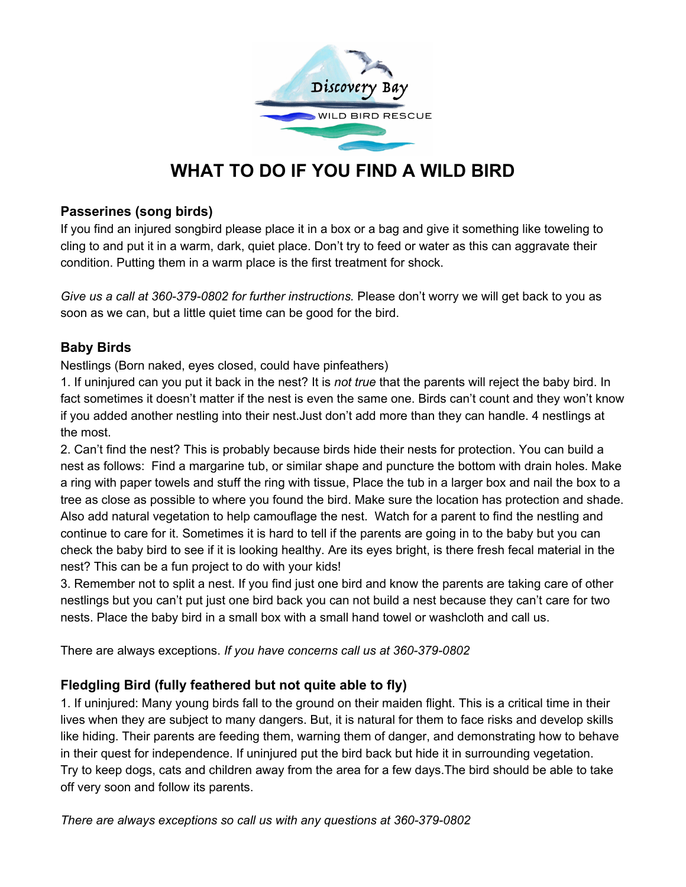

# **WHAT TO DO IF YOU FIND A WILD BIRD**

#### **Passerines (song birds)**

If you find an injured songbird please place it in a box or a bag and give it something like toweling to cling to and put it in a warm, dark, quiet place. Don't try to feed or water as this can aggravate their condition. Putting them in a warm place is the first treatment for shock.

*Give us a call at 360-379-0802 for further instructions.* Please don't worry we will get back to you as soon as we can, but a little quiet time can be good for the bird.

## **Baby Birds**

Nestlings (Born naked, eyes closed, could have pinfeathers)

1. If uninjured can you put it back in the nest? It is *not true* that the parents will reject the baby bird. In fact sometimes it doesn't matter if the nest is even the same one. Birds can't count and they won't know if you added another nestling into their nest.Just don't add more than they can handle. 4 nestlings at the most.

2. Can't find the nest? This is probably because birds hide their nests for protection. You can build a nest as follows: Find a margarine tub, or similar shape and puncture the bottom with drain holes. Make a ring with paper towels and stuff the ring with tissue, Place the tub in a larger box and nail the box to a tree as close as possible to where you found the bird. Make sure the location has protection and shade. Also add natural vegetation to help camouflage the nest. Watch for a parent to find the nestling and continue to care for it. Sometimes it is hard to tell if the parents are going in to the baby but you can check the baby bird to see if it is looking healthy. Are its eyes bright, is there fresh fecal material in the nest? This can be a fun project to do with your kids!

3. Remember not to split a nest. If you find just one bird and know the parents are taking care of other nestlings but you can't put just one bird back you can not build a nest because they can't care for two nests. Place the baby bird in a small box with a small hand towel or washcloth and call us.

There are always exceptions. *If you have concerns call us at 360-379-0802*

## **Fledgling Bird (fully feathered but not quite able to fly)**

1. If uninjured: Many young birds fall to the ground on their maiden flight. This is a critical time in their lives when they are subject to many dangers. But, it is natural for them to face risks and develop skills like hiding. Their parents are feeding them, warning them of danger, and demonstrating how to behave in their quest for independence. If uninjured put the bird back but hide it in surrounding vegetation. Try to keep dogs, cats and children away from the area for a few days.The bird should be able to take off very soon and follow its parents.

*There are always exceptions so call us with any questions at 360-379-0802*